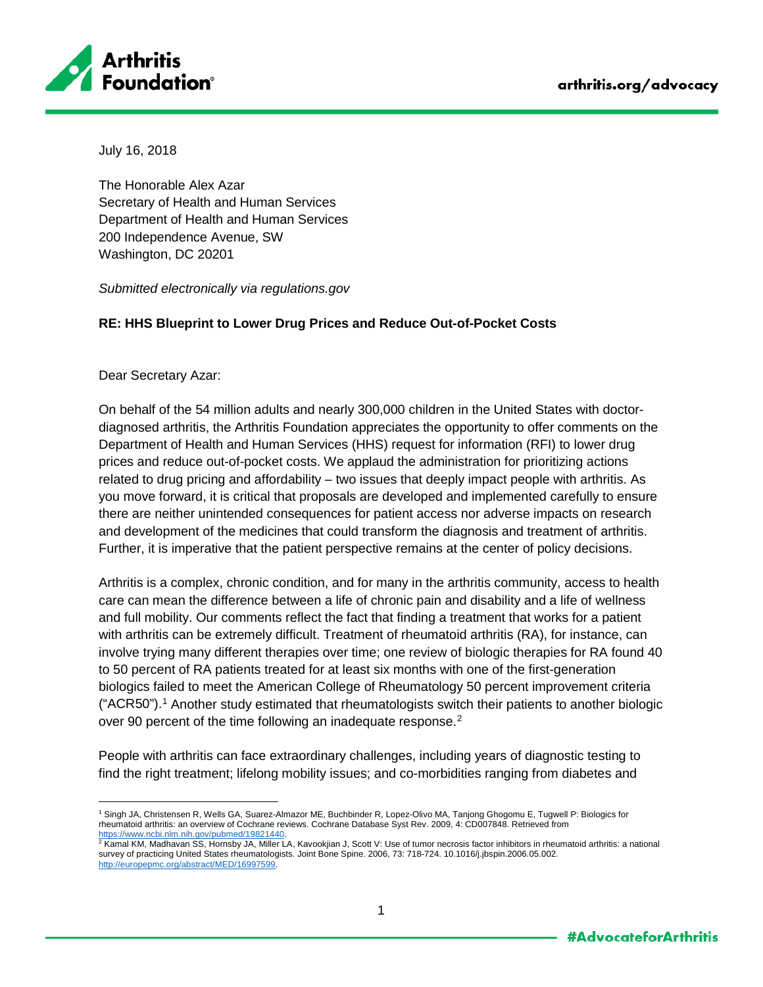

July 16, 2018

The Honorable Alex Azar Secretary of Health and Human Services Department of Health and Human Services 200 Independence Avenue, SW Washington, DC 20201

*Submitted electronically via regulations.gov*

## **RE: HHS Blueprint to Lower Drug Prices and Reduce Out-of-Pocket Costs**

Dear Secretary Azar:

On behalf of the 54 million adults and nearly 300,000 children in the United States with doctordiagnosed arthritis, the Arthritis Foundation appreciates the opportunity to offer comments on the Department of Health and Human Services (HHS) request for information (RFI) to lower drug prices and reduce out-of-pocket costs. We applaud the administration for prioritizing actions related to drug pricing and affordability – two issues that deeply impact people with arthritis. As you move forward, it is critical that proposals are developed and implemented carefully to ensure there are neither unintended consequences for patient access nor adverse impacts on research and development of the medicines that could transform the diagnosis and treatment of arthritis. Further, it is imperative that the patient perspective remains at the center of policy decisions.

Arthritis is a complex, chronic condition, and for many in the arthritis community, access to health care can mean the difference between a life of chronic pain and disability and a life of wellness and full mobility. Our comments reflect the fact that finding a treatment that works for a patient with arthritis can be extremely difficult. Treatment of rheumatoid arthritis (RA), for instance, can involve trying many different therapies over time; one review of biologic therapies for RA found 40 to 50 percent of RA patients treated for at least six months with one of the first-generation biologics failed to meet the American College of Rheumatology 50 percent improvement criteria ("ACR50")[.1](#page-0-0) Another study estimated that rheumatologists switch their patients to another biologic over 90 percent of the time following an inadequate response.<sup>[2](#page-0-1)</sup>

People with arthritis can face extraordinary challenges, including years of diagnostic testing to find the right treatment; lifelong mobility issues; and co-morbidities ranging from diabetes and

<span id="page-0-0"></span> $\overline{a}$ <sup>1</sup> Singh JA, Christensen R, Wells GA, Suarez-Almazor ME, Buchbinder R, Lopez-Olivo MA, Tanjong Ghogomu E, Tugwell P: Biologics for rheumatoid arthritis: an overview of Cochrane reviews. Cochrane Database Syst Rev. 2009, 4: CD007848. Retrieved from<br>https://www.ncbi.nlm.nih.gov/pubmed/19821440.

<span id="page-0-1"></span>https://www.ncbi.nlm.nih.gov/pubmed/1992/1982/1992/1992/1992/2 Kamal KM, Scott V: Use of tumor necrosis factor inhibitors in rheumatoid arthritis: a national ZKM, Madhavan SS, Hornsby JA, Miller LA, Kavookjian J, Scott V: survey of practicing United States rheumatologists. Joint Bone Spine. 2006, 73: 718-724. 10.1016/j.jbspin.2006.05.002. [http://europepmc.org/abstract/MED/16997599.](http://europepmc.org/abstract/MED/16997599)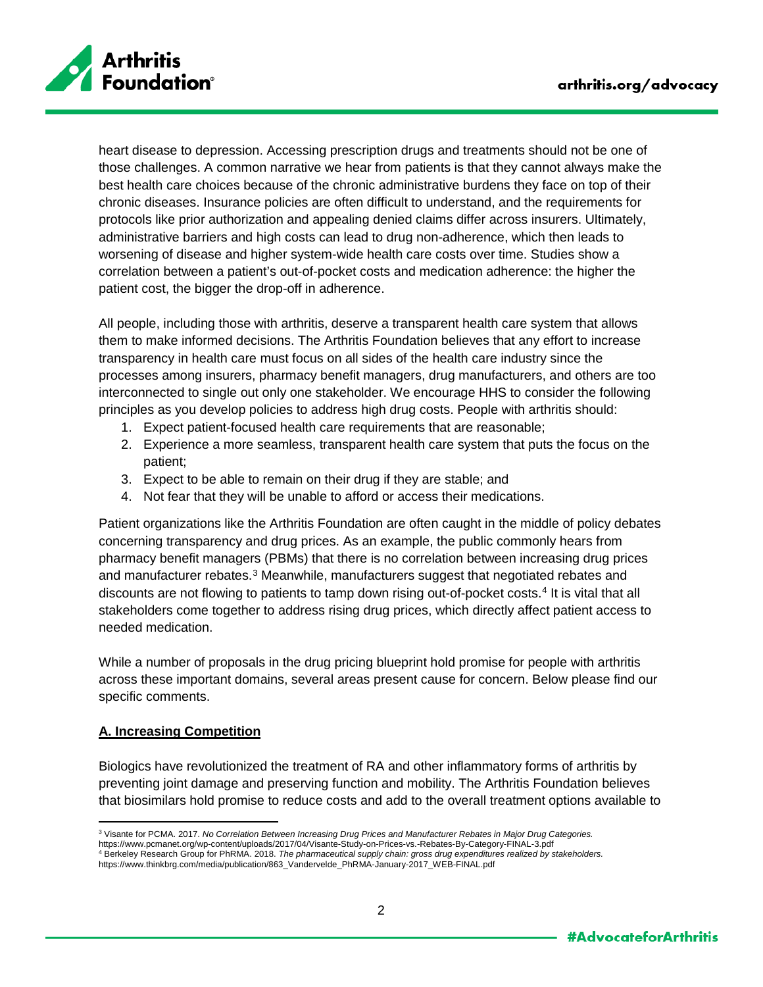

heart disease to depression. Accessing prescription drugs and treatments should not be one of those challenges. A common narrative we hear from patients is that they cannot always make the best health care choices because of the chronic administrative burdens they face on top of their chronic diseases. Insurance policies are often difficult to understand, and the requirements for protocols like prior authorization and appealing denied claims differ across insurers. Ultimately, administrative barriers and high costs can lead to drug non-adherence, which then leads to worsening of disease and higher system-wide health care costs over time. Studies show a correlation between a patient's out-of-pocket costs and medication adherence: the higher the patient cost, the bigger the drop-off in adherence.

All people, including those with arthritis, deserve a transparent health care system that allows them to make informed decisions. The Arthritis Foundation believes that any effort to increase transparency in health care must focus on all sides of the health care industry since the processes among insurers, pharmacy benefit managers, drug manufacturers, and others are too interconnected to single out only one stakeholder. We encourage HHS to consider the following principles as you develop policies to address high drug costs. People with arthritis should:

- 1. Expect patient-focused health care requirements that are reasonable;
- 2. Experience a more seamless, transparent health care system that puts the focus on the patient;
- 3. Expect to be able to remain on their drug if they are stable; and
- 4. Not fear that they will be unable to afford or access their medications.

Patient organizations like the Arthritis Foundation are often caught in the middle of policy debates concerning transparency and drug prices. As an example, the public commonly hears from pharmacy benefit managers (PBMs) that there is no correlation between increasing drug prices and manufacturer rebates.<sup>[3](#page-1-0)</sup> Meanwhile, manufacturers suggest that negotiated rebates and discounts are not flowing to patients to tamp down rising out-of-pocket costs. [4](#page-1-1) It is vital that all stakeholders come together to address rising drug prices, which directly affect patient access to needed medication.

While a number of proposals in the drug pricing blueprint hold promise for people with arthritis across these important domains, several areas present cause for concern. Below please find our specific comments.

#### **A. Increasing Competition**

Biologics have revolutionized the treatment of RA and other inflammatory forms of arthritis by preventing joint damage and preserving function and mobility. The Arthritis Foundation believes that biosimilars hold promise to reduce costs and add to the overall treatment options available to

 $\overline{a}$ <sup>3</sup> Visante for PCMA. 2017. *No Correlation Between Increasing Drug Prices and Manufacturer Rebates in Major Drug Categories.*

<span id="page-1-0"></span>https://www.pcmanet.org/wp-content/uploads/2017/04/Visante-Study-on-Prices-vs.-Rebates-By-Category-FINAL-3.pdf

<span id="page-1-1"></span><sup>4</sup> Berkeley Research Group for PhRMA. 2018. *The pharmaceutical supply chain: gross drug expenditures realized by stakeholders.*  https://www.thinkbrg.com/media/publication/863\_Vandervelde\_PhRMA-January-2017\_WEB-FINAL.pdf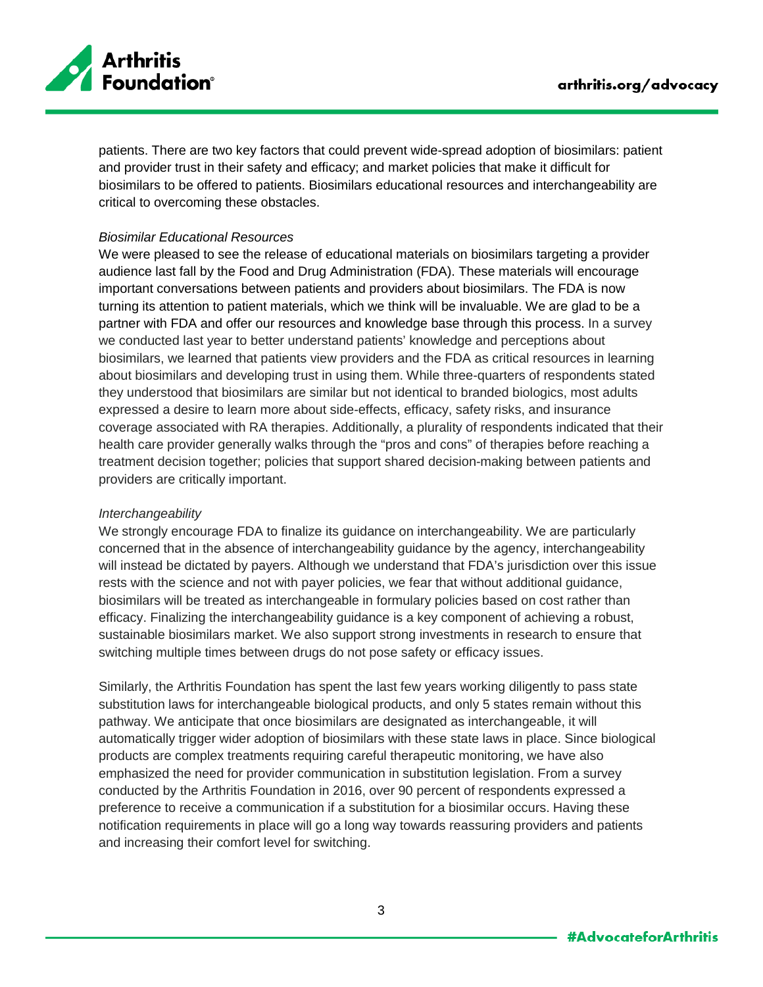

patients. There are two key factors that could prevent wide-spread adoption of biosimilars: patient and provider trust in their safety and efficacy; and market policies that make it difficult for biosimilars to be offered to patients. Biosimilars educational resources and interchangeability are critical to overcoming these obstacles.

### *Biosimilar Educational Resources*

We were pleased to see the release of educational materials on biosimilars targeting a provider audience last fall by the Food and Drug Administration (FDA). These materials will encourage important conversations between patients and providers about biosimilars. The FDA is now turning its attention to patient materials, which we think will be invaluable. We are glad to be a partner with FDA and offer our resources and knowledge base through this process. In a survey we conducted last year to better understand patients' knowledge and perceptions about biosimilars, we learned that patients view providers and the FDA as critical resources in learning about biosimilars and developing trust in using them. While three-quarters of respondents stated they understood that biosimilars are similar but not identical to branded biologics, most adults expressed a desire to learn more about side-effects, efficacy, safety risks, and insurance coverage associated with RA therapies. Additionally, a plurality of respondents indicated that their health care provider generally walks through the "pros and cons" of therapies before reaching a treatment decision together; policies that support shared decision-making between patients and providers are critically important.

#### *Interchangeability*

We strongly encourage FDA to finalize its guidance on interchangeability. We are particularly concerned that in the absence of interchangeability guidance by the agency, interchangeability will instead be dictated by payers. Although we understand that FDA's jurisdiction over this issue rests with the science and not with payer policies, we fear that without additional guidance, biosimilars will be treated as interchangeable in formulary policies based on cost rather than efficacy. Finalizing the interchangeability guidance is a key component of achieving a robust, sustainable biosimilars market. We also support strong investments in research to ensure that switching multiple times between drugs do not pose safety or efficacy issues.

Similarly, the Arthritis Foundation has spent the last few years working diligently to pass state substitution laws for interchangeable biological products, and only 5 states remain without this pathway. We anticipate that once biosimilars are designated as interchangeable, it will automatically trigger wider adoption of biosimilars with these state laws in place. Since biological products are complex treatments requiring careful therapeutic monitoring, we have also emphasized the need for provider communication in substitution legislation. From a survey conducted by the Arthritis Foundation in 2016, over 90 percent of respondents expressed a preference to receive a communication if a substitution for a biosimilar occurs. Having these notification requirements in place will go a long way towards reassuring providers and patients and increasing their comfort level for switching.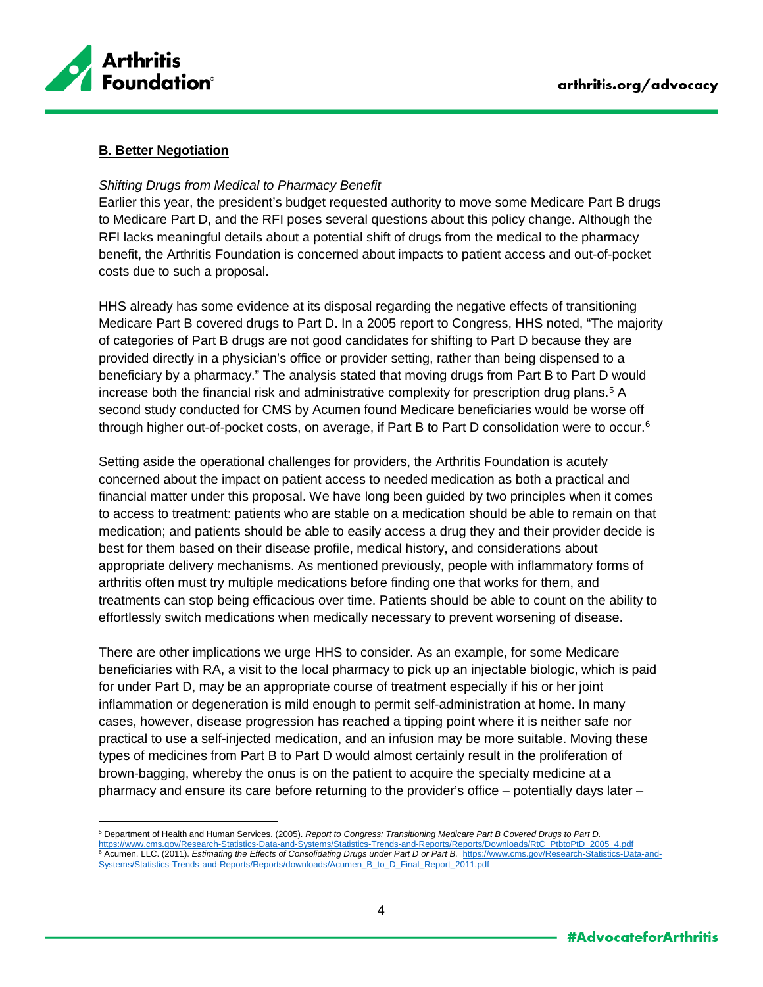

 $\overline{a}$ 

## **B. Better Negotiation**

#### *Shifting Drugs from Medical to Pharmacy Benefit*

Earlier this year, the president's budget requested authority to move some Medicare Part B drugs to Medicare Part D, and the RFI poses several questions about this policy change. Although the RFI lacks meaningful details about a potential shift of drugs from the medical to the pharmacy benefit, the Arthritis Foundation is concerned about impacts to patient access and out-of-pocket costs due to such a proposal.

HHS already has some evidence at its disposal regarding the negative effects of transitioning Medicare Part B covered drugs to Part D. In a 2005 report to Congress, HHS noted, "The majority of categories of Part B drugs are not good candidates for shifting to Part D because they are provided directly in a physician's office or provider setting, rather than being dispensed to a beneficiary by a pharmacy." The analysis stated that moving drugs from Part B to Part D would increase both the financial risk and administrative complexity for prescription drug plans.<sup>[5](#page-3-0)</sup> A second study conducted for CMS by Acumen found Medicare beneficiaries would be worse off through higher out-of-pocket costs, on average, if Part B to Part D consolidation were to occur.[6](#page-3-1)

Setting aside the operational challenges for providers, the Arthritis Foundation is acutely concerned about the impact on patient access to needed medication as both a practical and financial matter under this proposal. We have long been guided by two principles when it comes to access to treatment: patients who are stable on a medication should be able to remain on that medication; and patients should be able to easily access a drug they and their provider decide is best for them based on their disease profile, medical history, and considerations about appropriate delivery mechanisms. As mentioned previously, people with inflammatory forms of arthritis often must try multiple medications before finding one that works for them, and treatments can stop being efficacious over time. Patients should be able to count on the ability to effortlessly switch medications when medically necessary to prevent worsening of disease.

There are other implications we urge HHS to consider. As an example, for some Medicare beneficiaries with RA, a visit to the local pharmacy to pick up an injectable biologic, which is paid for under Part D, may be an appropriate course of treatment especially if his or her joint inflammation or degeneration is mild enough to permit self-administration at home. In many cases, however, disease progression has reached a tipping point where it is neither safe nor practical to use a self-injected medication, and an infusion may be more suitable. Moving these types of medicines from Part B to Part D would almost certainly result in the proliferation of brown-bagging, whereby the onus is on the patient to acquire the specialty medicine at a pharmacy and ensure its care before returning to the provider's office – potentially days later –

<span id="page-3-1"></span><span id="page-3-0"></span><sup>5</sup> Department of Health and Human Services. (2005). *Report to Congress: Transitioning Medicare Part B Covered Drugs to Part D.*  [https://www.cms.gov/Research-Statistics-Data-and-Systems/Statistics-Trends-and-Reports/Reports/Downloads/RtC\\_PtbtoPtD\\_2005\\_4.pdf](https://www.cms.gov/Research-Statistics-Data-and-Systems/Statistics-Trends-and-Reports/Reports/Downloads/RtC_PtbtoPtD_2005_4.pdf) <sup>6</sup> Acumen, LLC. (2011). *Estimating the Effects of Consolidating Drugs under Part D or Part B.* [https://www.cms.gov/Research-Statistics-Data-and-](https://www.cms.gov/Research-Statistics-Data-and-Systems/Statistics-Trends-and-Reports/Reports/downloads/Acumen_B_to_D_Final_Report_2011.pdf)[Systems/Statistics-Trends-and-Reports/Reports/downloads/Acumen\\_B\\_to\\_D\\_Final\\_Report\\_2011.pdf](https://www.cms.gov/Research-Statistics-Data-and-Systems/Statistics-Trends-and-Reports/Reports/downloads/Acumen_B_to_D_Final_Report_2011.pdf)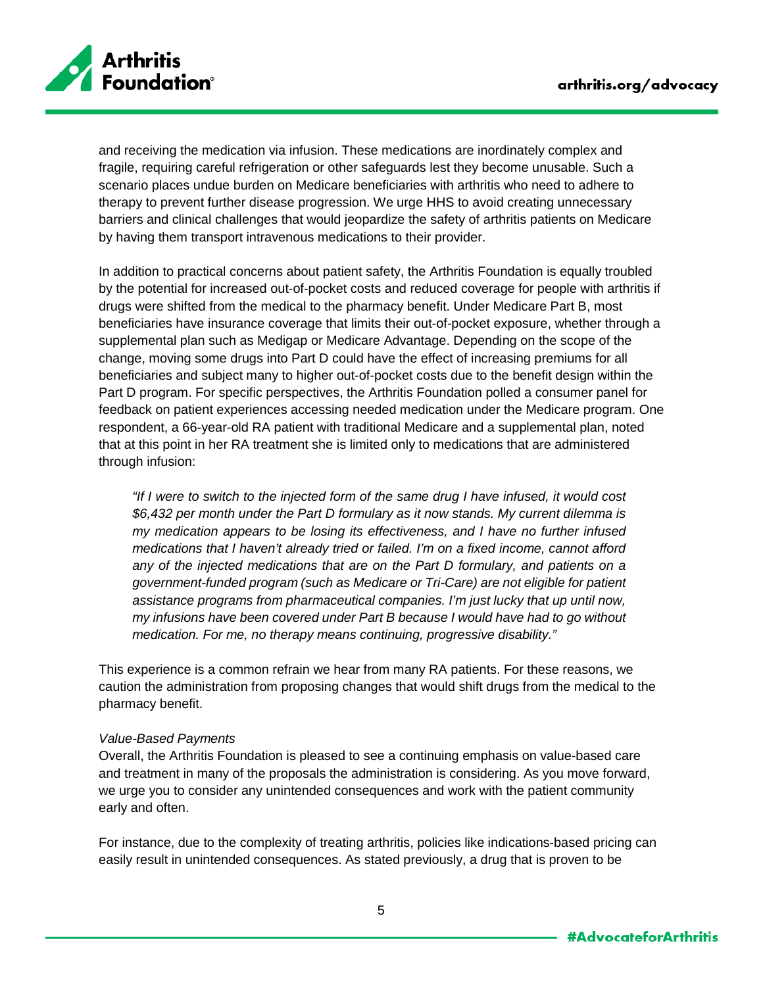

and receiving the medication via infusion. These medications are inordinately complex and fragile, requiring careful refrigeration or other safeguards lest they become unusable. Such a scenario places undue burden on Medicare beneficiaries with arthritis who need to adhere to therapy to prevent further disease progression. We urge HHS to avoid creating unnecessary barriers and clinical challenges that would jeopardize the safety of arthritis patients on Medicare by having them transport intravenous medications to their provider.

In addition to practical concerns about patient safety, the Arthritis Foundation is equally troubled by the potential for increased out-of-pocket costs and reduced coverage for people with arthritis if drugs were shifted from the medical to the pharmacy benefit. Under Medicare Part B, most beneficiaries have insurance coverage that limits their out-of-pocket exposure, whether through a supplemental plan such as Medigap or Medicare Advantage. Depending on the scope of the change, moving some drugs into Part D could have the effect of increasing premiums for all beneficiaries and subject many to higher out-of-pocket costs due to the benefit design within the Part D program. For specific perspectives, the Arthritis Foundation polled a consumer panel for feedback on patient experiences accessing needed medication under the Medicare program. One respondent, a 66-year-old RA patient with traditional Medicare and a supplemental plan, noted that at this point in her RA treatment she is limited only to medications that are administered through infusion:

*"If I were to switch to the injected form of the same drug I have infused, it would cost \$6,432 per month under the Part D formulary as it now stands. My current dilemma is my medication appears to be losing its effectiveness, and I have no further infused medications that I haven't already tried or failed. I'm on a fixed income, cannot afford any of the injected medications that are on the Part D formulary, and patients on a government-funded program (such as Medicare or Tri-Care) are not eligible for patient assistance programs from pharmaceutical companies. I'm just lucky that up until now, my infusions have been covered under Part B because I would have had to go without medication. For me, no therapy means continuing, progressive disability."*

This experience is a common refrain we hear from many RA patients. For these reasons, we caution the administration from proposing changes that would shift drugs from the medical to the pharmacy benefit.

### *Value-Based Payments*

Overall, the Arthritis Foundation is pleased to see a continuing emphasis on value-based care and treatment in many of the proposals the administration is considering. As you move forward, we urge you to consider any unintended consequences and work with the patient community early and often.

For instance, due to the complexity of treating arthritis, policies like indications-based pricing can easily result in unintended consequences. As stated previously, a drug that is proven to be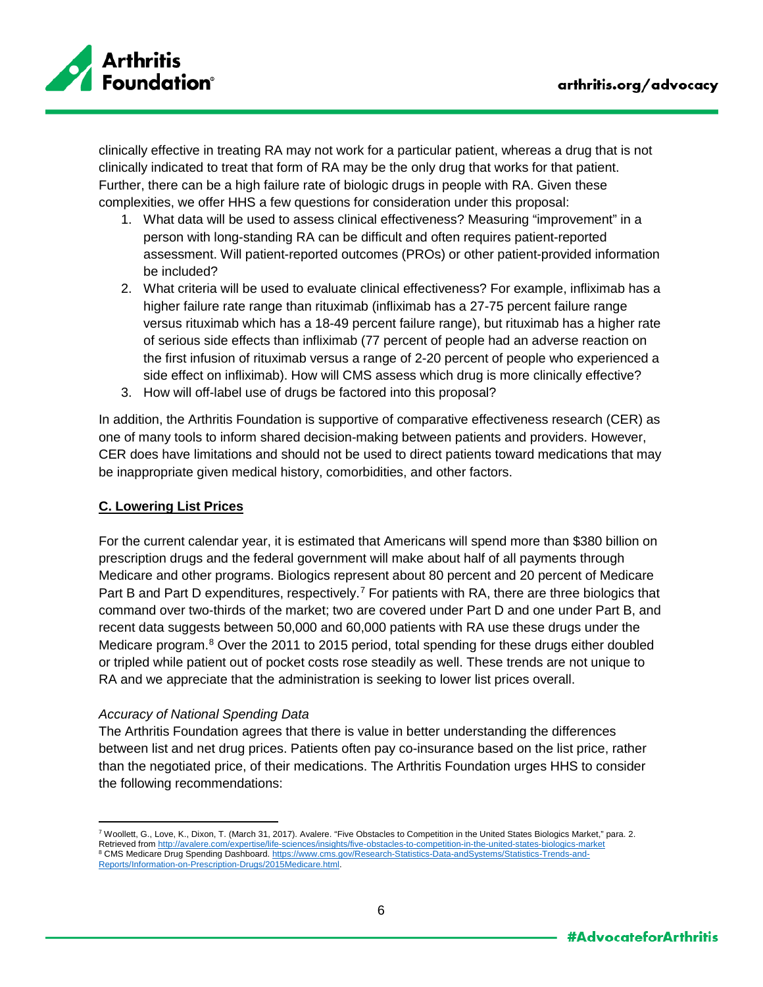

clinically effective in treating RA may not work for a particular patient, whereas a drug that is not clinically indicated to treat that form of RA may be the only drug that works for that patient. Further, there can be a high failure rate of biologic drugs in people with RA. Given these complexities, we offer HHS a few questions for consideration under this proposal:

- 1. What data will be used to assess clinical effectiveness? Measuring "improvement" in a person with long-standing RA can be difficult and often requires patient-reported assessment. Will patient-reported outcomes (PROs) or other patient-provided information be included?
- 2. What criteria will be used to evaluate clinical effectiveness? For example, infliximab has a higher failure rate range than rituximab (infliximab has a 27-75 percent failure range versus rituximab which has a 18-49 percent failure range), but rituximab has a higher rate of serious side effects than infliximab (77 percent of people had an adverse reaction on the first infusion of rituximab versus a range of 2-20 percent of people who experienced a side effect on infliximab). How will CMS assess which drug is more clinically effective?
- 3. How will off-label use of drugs be factored into this proposal?

In addition, the Arthritis Foundation is supportive of comparative effectiveness research (CER) as one of many tools to inform shared decision-making between patients and providers. However, CER does have limitations and should not be used to direct patients toward medications that may be inappropriate given medical history, comorbidities, and other factors.

## **C. Lowering List Prices**

For the current calendar year, it is estimated that Americans will spend more than \$380 billion on prescription drugs and the federal government will make about half of all payments through Medicare and other programs. Biologics represent about 80 percent and 20 percent of Medicare Part B and Part D expenditures, respectively.<sup>[7](#page-5-0)</sup> For patients with RA, there are three biologics that command over two-thirds of the market; two are covered under Part D and one under Part B, and recent data suggests between 50,000 and 60,000 patients with RA use these drugs under the Medicare program.<sup>[8](#page-5-1)</sup> Over the 2011 to 2015 period, total spending for these drugs either doubled or tripled while patient out of pocket costs rose steadily as well. These trends are not unique to RA and we appreciate that the administration is seeking to lower list prices overall.

#### *Accuracy of National Spending Data*

The Arthritis Foundation agrees that there is value in better understanding the differences between list and net drug prices. Patients often pay co-insurance based on the list price, rather than the negotiated price, of their medications. The Arthritis Foundation urges HHS to consider the following recommendations:

<span id="page-5-1"></span><span id="page-5-0"></span> $\overline{a}$ <sup>7</sup> Woollett, G., Love, K., Dixon, T. (March 31, 2017). Avalere. "Five Obstacles to Competition in the United States Biologics Market," para. 2. Retrieved from<http://avalere.com/expertise/life-sciences/insights/five-obstacles-to-competition-in-the-united-states-biologics-market> 8 CMS Medicare Drug Spending Dashboard[. https://www.cms.gov/Research-Statistics-Data-andSystems/Statistics-Trends-and-](https://www.cms.gov/Research-Statistics-Data-andSystems/Statistics-Trends-and-Reports/Information-on-Prescription-Drugs/2015Medicare.html)[Reports/Information-on-Prescription-Drugs/2015Medicare.html.](https://www.cms.gov/Research-Statistics-Data-andSystems/Statistics-Trends-and-Reports/Information-on-Prescription-Drugs/2015Medicare.html)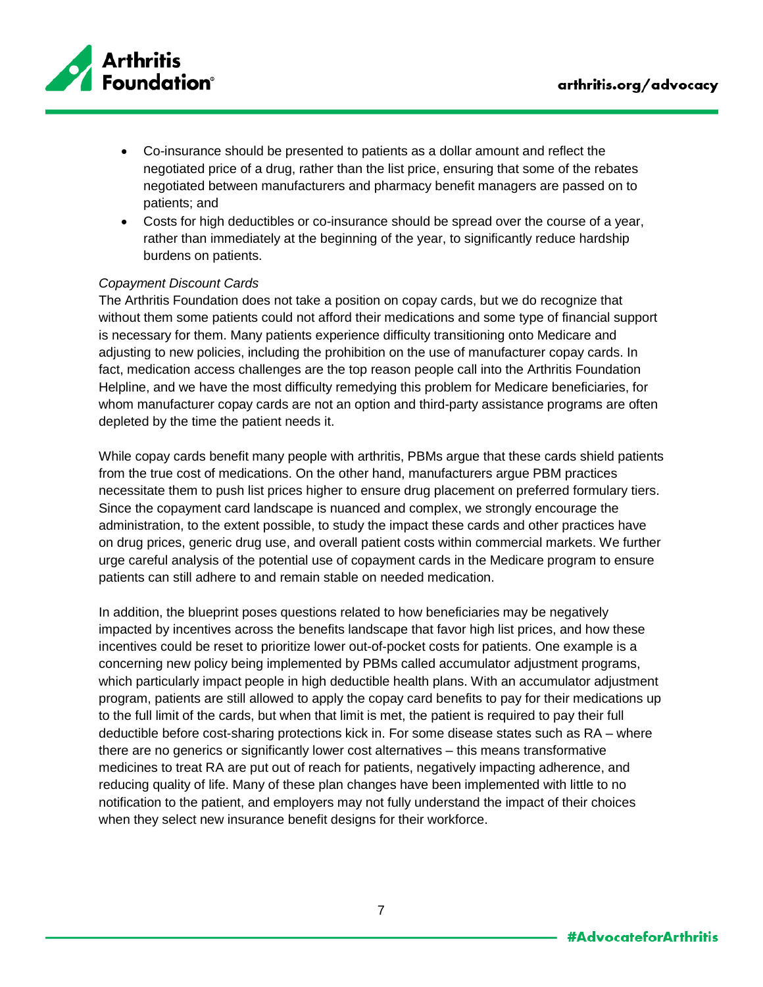

- Co-insurance should be presented to patients as a dollar amount and reflect the negotiated price of a drug, rather than the list price, ensuring that some of the rebates negotiated between manufacturers and pharmacy benefit managers are passed on to patients; and
- Costs for high deductibles or co-insurance should be spread over the course of a year, rather than immediately at the beginning of the year, to significantly reduce hardship burdens on patients.

## *Copayment Discount Cards*

The Arthritis Foundation does not take a position on copay cards, but we do recognize that without them some patients could not afford their medications and some type of financial support is necessary for them. Many patients experience difficulty transitioning onto Medicare and adjusting to new policies, including the prohibition on the use of manufacturer copay cards. In fact, medication access challenges are the top reason people call into the Arthritis Foundation Helpline, and we have the most difficulty remedying this problem for Medicare beneficiaries, for whom manufacturer copay cards are not an option and third-party assistance programs are often depleted by the time the patient needs it.

While copay cards benefit many people with arthritis, PBMs argue that these cards shield patients from the true cost of medications. On the other hand, manufacturers argue PBM practices necessitate them to push list prices higher to ensure drug placement on preferred formulary tiers. Since the copayment card landscape is nuanced and complex, we strongly encourage the administration, to the extent possible, to study the impact these cards and other practices have on drug prices, generic drug use, and overall patient costs within commercial markets. We further urge careful analysis of the potential use of copayment cards in the Medicare program to ensure patients can still adhere to and remain stable on needed medication.

In addition, the blueprint poses questions related to how beneficiaries may be negatively impacted by incentives across the benefits landscape that favor high list prices, and how these incentives could be reset to prioritize lower out-of-pocket costs for patients. One example is a concerning new policy being implemented by PBMs called accumulator adjustment programs, which particularly impact people in high deductible health plans. With an accumulator adjustment program, patients are still allowed to apply the copay card benefits to pay for their medications up to the full limit of the cards, but when that limit is met, the patient is required to pay their full deductible before cost-sharing protections kick in. For some disease states such as RA – where there are no generics or significantly lower cost alternatives – this means transformative medicines to treat RA are put out of reach for patients, negatively impacting adherence, and reducing quality of life. Many of these plan changes have been implemented with little to no notification to the patient, and employers may not fully understand the impact of their choices when they select new insurance benefit designs for their workforce.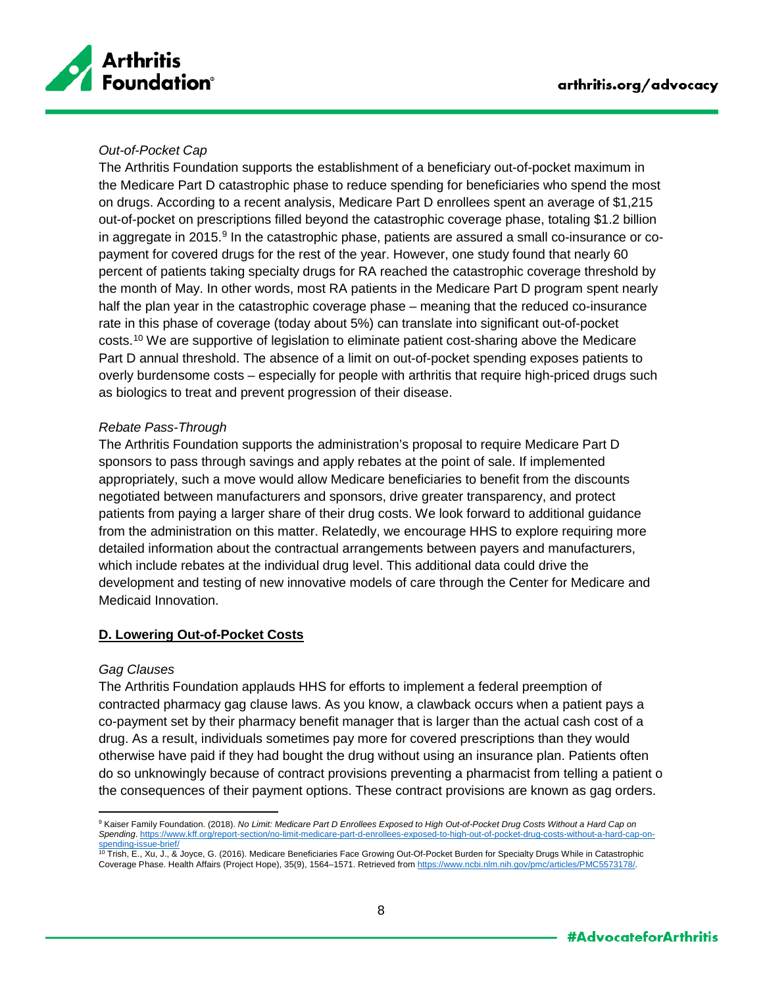

## *Out-of-Pocket Cap*

The Arthritis Foundation supports the establishment of a beneficiary out-of-pocket maximum in the Medicare Part D catastrophic phase to reduce spending for beneficiaries who spend the most on drugs. According to a recent analysis, Medicare Part D enrollees spent an average of \$1,215 out-of-pocket on prescriptions filled beyond the catastrophic coverage phase, totaling \$1.2 billion in aggregate in 2015. $9$  In the catastrophic phase, patients are assured a small co-insurance or copayment for covered drugs for the rest of the year. However, one study found that nearly 60 percent of patients taking specialty drugs for RA reached the catastrophic coverage threshold by the month of May. In other words, most RA patients in the Medicare Part D program spent nearly half the plan year in the catastrophic coverage phase – meaning that the reduced co-insurance rate in this phase of coverage (today about 5%) can translate into significant out-of-pocket costs.[10](#page-7-1) We are supportive of legislation to eliminate patient cost-sharing above the Medicare Part D annual threshold. The absence of a limit on out-of-pocket spending exposes patients to overly burdensome costs – especially for people with arthritis that require high-priced drugs such as biologics to treat and prevent progression of their disease.

## *Rebate Pass-Through*

The Arthritis Foundation supports the administration's proposal to require Medicare Part D sponsors to pass through savings and apply rebates at the point of sale. If implemented appropriately, such a move would allow Medicare beneficiaries to benefit from the discounts negotiated between manufacturers and sponsors, drive greater transparency, and protect patients from paying a larger share of their drug costs. We look forward to additional guidance from the administration on this matter. Relatedly, we encourage HHS to explore requiring more detailed information about the contractual arrangements between payers and manufacturers, which include rebates at the individual drug level. This additional data could drive the development and testing of new innovative models of care through the Center for Medicare and Medicaid Innovation.

## **D. Lowering Out-of-Pocket Costs**

#### *Gag Clauses*

 $\overline{a}$ 

The Arthritis Foundation applauds HHS for efforts to implement a federal preemption of contracted pharmacy gag clause laws. As you know, a clawback occurs when a patient pays a co-payment set by their pharmacy benefit manager that is larger than the actual cash cost of a drug. As a result, individuals sometimes pay more for covered prescriptions than they would otherwise have paid if they had bought the drug without using an insurance plan. Patients often do so unknowingly because of contract provisions preventing a pharmacist from telling a patient o the consequences of their payment options. These contract provisions are known as gag orders.

<span id="page-7-0"></span><sup>9</sup> Kaiser Family Foundation. (2018). *No Limit: Medicare Part D Enrollees Exposed to High Out-of-Pocket Drug Costs Without a Hard Cap on Spending*[. https://www.kff.org/report-section/no-limit-medicare-part-d-enrollees-exposed-to-high-out-of-pocket-drug-costs-without-a-hard-cap-on-](https://www.kff.org/report-section/no-limit-medicare-part-d-enrollees-exposed-to-high-out-of-pocket-drug-costs-without-a-hard-cap-on-spending-issue-brief/)

<span id="page-7-1"></span><sup>&</sup>lt;u>[spending-issue-brief/](https://www.kff.org/report-section/no-limit-medicare-part-d-enrollees-exposed-to-high-out-of-pocket-drug-costs-without-a-hard-cap-on-spending-issue-brief/)</u><br><sup>10</sup> Trish, E., Xu, J., & Joyce, G. (2016). Medicare Beneficiaries Face Growing Out-Of-Pocket Burden for Specialty Drugs While in Catastrophic Coverage Phase. Health Affairs (Project Hope), 35(9), 1564–1571. Retrieved fro[m https://www.ncbi.nlm.nih.gov/pmc/articles/PMC5573178/.](https://www.ncbi.nlm.nih.gov/pmc/articles/PMC5573178/)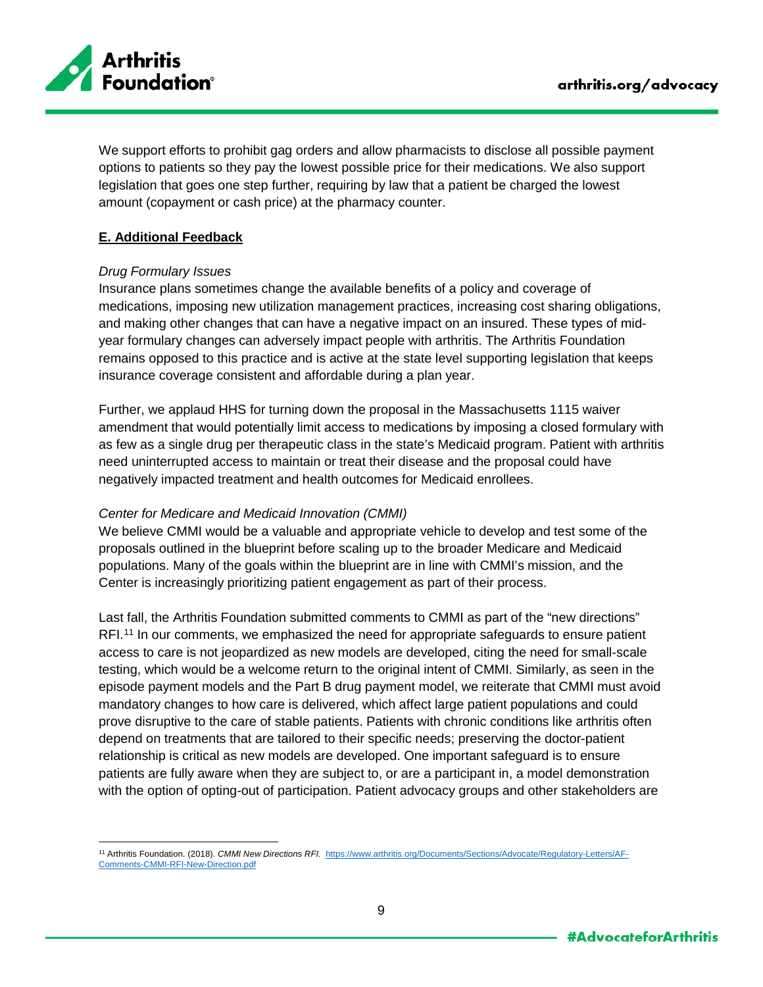

We support efforts to prohibit gag orders and allow pharmacists to disclose all possible payment options to patients so they pay the lowest possible price for their medications. We also support legislation that goes one step further, requiring by law that a patient be charged the lowest amount (copayment or cash price) at the pharmacy counter.

# **E. Additional Feedback**

## *Drug Formulary Issues*

Insurance plans sometimes change the available benefits of a policy and coverage of medications, imposing new utilization management practices, increasing cost sharing obligations, and making other changes that can have a negative impact on an insured. These types of midyear formulary changes can adversely impact people with arthritis. The Arthritis Foundation remains opposed to this practice and is active at the state level supporting legislation that keeps insurance coverage consistent and affordable during a plan year.

Further, we applaud HHS for turning down the proposal in the Massachusetts 1115 waiver amendment that would potentially limit access to medications by imposing a closed formulary with as few as a single drug per therapeutic class in the state's Medicaid program. Patient with arthritis need uninterrupted access to maintain or treat their disease and the proposal could have negatively impacted treatment and health outcomes for Medicaid enrollees.

#### *Center for Medicare and Medicaid Innovation (CMMI)*

We believe CMMI would be a valuable and appropriate vehicle to develop and test some of the proposals outlined in the blueprint before scaling up to the broader Medicare and Medicaid populations. Many of the goals within the blueprint are in line with CMMI's mission, and the Center is increasingly prioritizing patient engagement as part of their process.

Last fall, the Arthritis Foundation submitted comments to CMMI as part of the "new directions" RFI.<sup>[11](#page-8-0)</sup> In our comments, we emphasized the need for appropriate safeguards to ensure patient access to care is not jeopardized as new models are developed, citing the need for small-scale testing, which would be a welcome return to the original intent of CMMI. Similarly, as seen in the episode payment models and the Part B drug payment model, we reiterate that CMMI must avoid mandatory changes to how care is delivered, which affect large patient populations and could prove disruptive to the care of stable patients. Patients with chronic conditions like arthritis often depend on treatments that are tailored to their specific needs; preserving the doctor-patient relationship is critical as new models are developed. One important safeguard is to ensure patients are fully aware when they are subject to, or are a participant in, a model demonstration with the option of opting-out of participation. Patient advocacy groups and other stakeholders are

<span id="page-8-0"></span> $\overline{a}$ <sup>11</sup> Arthritis Foundation. (2018). *CMMI New Directions RFI.* [https://www.arthritis.org/Documents/Sections/Advocate/Regulatory-Letters/AF-](https://www.arthritis.org/Documents/Sections/Advocate/Regulatory-Letters/AF-Comments-CMMI-RFI-New-Direction.pdf)[Comments-CMMI-RFI-New-Direction.pdf](https://www.arthritis.org/Documents/Sections/Advocate/Regulatory-Letters/AF-Comments-CMMI-RFI-New-Direction.pdf)